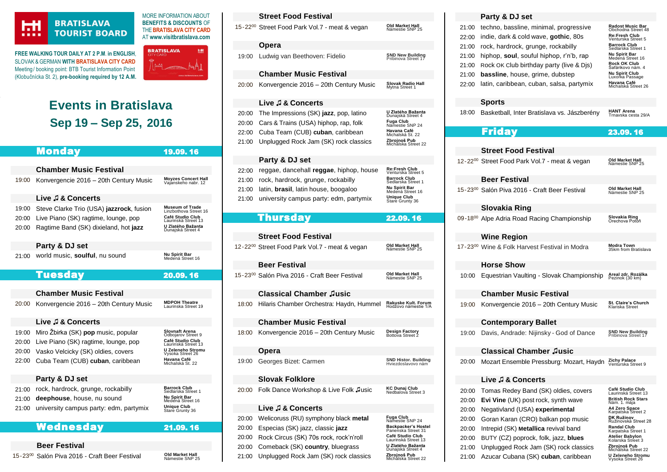## HН ....

## **BRATISLAVA TOURIST BOARD**

**FREE WALKING TOUR DAILY AT 2 P.M**. **in ENGLISH**, SLOVAK & GERMAN **WIT[H BRATISLAVA CITY CARD](https://www.visitbratislava.com/your-trip/stay-in-the-city/city-card-advantages/)** Meeting/ booking point: BTB Tourist Information Point (Klobučnícka St. 2), **pre-booking required by 12 A.M.**



MORE INFORMATION ABOUT **BENEFITS & DISCOUNTS** OF THE**[BRATISLAVA CITY CARD](https://www.visitbratislava.com/your-trip/stay-in-the-city/city-card-advantages/)**

# **Events in Bratislava Sep 19 – Sep 25, 2016**

|       | Monday                                                    | 19.09.16                                        |             |
|-------|-----------------------------------------------------------|-------------------------------------------------|-------------|
|       |                                                           |                                                 |             |
|       | <b>Chamber Music Festival</b>                             |                                                 | 2:          |
| 19:00 | Konvergencie 2016 - 20th Century Music                    | Moyzes Concert Hall<br>Vajanskeho nabr. 12      | $2^{\circ}$ |
|       |                                                           |                                                 | $2^{\circ}$ |
|       | Live J & Concerts                                         |                                                 | $2^{\circ}$ |
| 19:00 | Steve Clarke Trio (USA) jazzrock, fusion                  | <b>Museum of Trade</b><br>Linzbothova Street 16 |             |
| 20:00 | Live Piano (SK) ragtime, lounge, pop                      | Café Studio Club<br>Laurinská Street 13         |             |
| 20:00 | Ragtime Band (SK) dixieland, hot jazz                     | U Zlatého Bažanta<br>Dunajská Street 4          |             |
|       | Party & DJ set                                            |                                                 | 12          |
| 21:00 | world music, soulful, nu sound                            | Nu Spirit Bar<br>Medená Street 16               |             |
|       |                                                           |                                                 |             |
|       | <b>Tuesday</b>                                            | 20.09.16                                        | 15          |
|       |                                                           |                                                 |             |
|       | <b>Chamber Music Festival</b>                             |                                                 |             |
| 20:00 | Konvergencie 2016 - 20th Century Music                    | <b>MDPOH Theatre</b><br>Laurinska Street 19     | 18          |
|       | Live J & Concerts                                         |                                                 |             |
| 19:00 | Miro Žbirka (SK) pop music, popular                       | <b>Slovnaft Arena</b><br>Odbojarov Street 9     | 18          |
| 20:00 | Live Piano (SK) ragtime, lounge, pop                      | Café Studio Club<br>Laurinská Street 13         |             |
| 20:00 | Vasko Velcicky (SK) oldies, covers                        | U Zeleneho Stromu<br>Vysoka Street 26           |             |
| 22:00 | Cuba Team (CUB) cuban, caribbean                          | Havana Café<br>Michalská St. 22                 | 19          |
|       |                                                           |                                                 |             |
|       | Party & DJ set                                            |                                                 |             |
| 21:00 | rock, hardrock, grunge, rockabilly                        | <b>Barrock Club</b><br>Sedlarska Street 1       | 20          |
| 21:00 | deephouse, house, nu sound                                | <b>Nu Spirit Bar</b><br>Medená Street 16        |             |
| 21:00 | university campus party: edm, partymix                    | Unique Club<br>Stare Grunty 36                  |             |
|       |                                                           |                                                 | 20          |
|       | Wednesday                                                 | 21.09.16                                        | 2(          |
|       |                                                           |                                                 | 20          |
|       | <b>Beer Festival</b>                                      |                                                 | 20          |
|       | 15-23 <sup>00</sup> Salón Piva 2016 - Craft Beer Festival | Old Market Hall<br>Námestie SNP 25              | 2.          |

|                         | <b>Street Food Festival</b>                                                                                         |                                                                                                           |
|-------------------------|---------------------------------------------------------------------------------------------------------------------|-----------------------------------------------------------------------------------------------------------|
|                         | 15-22 <sup>00</sup> Street Food Park Vol.7 - meat & vegan                                                           | Old Market Hall<br>Námestie SNP 25                                                                        |
|                         | Opera                                                                                                               |                                                                                                           |
| 19:00                   | Ludwig van Beethoven: Fidelio                                                                                       | <b>SND New Building</b><br>Pribinova Street 17                                                            |
|                         | <b>Chamber Music Festival</b>                                                                                       |                                                                                                           |
| 20:00                   | Konvergencie 2016 – 20th Century Music                                                                              | Slovak Radio Hall<br>Mytna Street 1                                                                       |
|                         | Live ♬ & Concerts                                                                                                   |                                                                                                           |
| 20:00<br>20:00<br>22:00 | The Impressions (SK) jazz, pop, latino<br>Cars & Trains (USA) hiphop, rap, folk<br>Cuba Team (CUB) cuban, caribbean | U Zlatého Bažanta<br>Dunajská Street 4<br>Fuga Club<br>Námestie SNP 24<br>Havana Café<br>Michalská St. 22 |
| 21:00                   | Unplugged Rock Jam (SK) rock classics                                                                               | Zbrojnoš Pub<br>Michalska Street 22                                                                       |
|                         |                                                                                                                     |                                                                                                           |
|                         | Party & DJ set                                                                                                      |                                                                                                           |
| 22:00                   | reggae, dancehall reggae, hiphop, house                                                                             | Re:Fresh Club<br>Venturska Street 5                                                                       |
| 21:00                   | rock, hardrock, grunge, rockabilly                                                                                  | Barrock Club<br>Sedlarska Street 1<br>Nu Spirit Bar                                                       |
| 21:00                   | latin, <b>brasil</b> , latin house, boogaloo                                                                        | Medená Street 16<br>Unique Club                                                                           |
| 21:00                   | university campus party: edm, partymix                                                                              | Stare Grunty 36                                                                                           |
|                         | Thursday                                                                                                            | 22.09.16                                                                                                  |
|                         |                                                                                                                     |                                                                                                           |
|                         | <b>Street Food Festival</b>                                                                                         |                                                                                                           |
|                         | 12-22 <sup>00</sup> Street Food Park Vol.7 - meat & vegan                                                           | Old Market Hall<br>Námestie SNP 25                                                                        |
|                         | <b>Beer Festival</b>                                                                                                |                                                                                                           |
|                         | 15-23 <sup>00</sup> Salón Piva 2016 - Craft Beer Festival                                                           | Old Market Hall<br>Námestie SNP 25                                                                        |
|                         | <b>Classical Chamber Jusic</b>                                                                                      |                                                                                                           |
| 18:00                   | Hilaris Chamber Orchestra: Haydn, Hummel                                                                            | Rakuske Kult. Forum<br>Hodžovo námestie 1/A                                                               |
|                         | <b>Chamber Music Festival</b>                                                                                       |                                                                                                           |
| 18:00                   | Konvergencie 2016 – 20th Century Music                                                                              | Design Factory<br>Bottova Street 2                                                                        |
|                         | Opera                                                                                                               |                                                                                                           |
| 19:00                   | Georges Bizet: Carmen                                                                                               | <b>SND Histor. Building</b><br>Hviezdoslavovo nám                                                         |
|                         | <b>Slovak Folklore</b>                                                                                              |                                                                                                           |
| 20:00                   | Folk Dance Workshop & Live Folk Jusic                                                                               | KC Dunaj Club<br>Nedbalova Street 3                                                                       |
|                         | Live J & Concerts                                                                                                   |                                                                                                           |
| 20:00<br>20:00          | Welicoruss (RU) symphony black metal<br>Especias (SK) jazz, classic jazz                                            | <b>Fuga Club</b><br>Námestie SNP 24<br><b>Backpacker's Hostel</b><br>Panenska Street 31                   |
| 20:00                   | Rock Circus (SK) 70s rock, rock'n'roll                                                                              | Café Studio Club<br>Laurinská Street 13                                                                   |
| 20:00<br>21:00          | Comeback (SK) country, bluegrass<br>Unplugged Rock Jam (SK) rock classics                                           | U Zlatého Bažanta<br>Dunajská Street 4<br>Zbrojnoš Pub                                                    |

## **Party & DJ set**

| 21:00<br>22:00<br>21:00<br>21:00<br>21:00<br>21:00<br>22:00 | techno, bassline, minimal, progressive<br>indie, dark & cold wave, <b>gothic</b> , 80s<br>rock, hardrock, grunge, rockabilly<br>hiphop, soul, souful hiphop, r'n'b, rap<br>Rock OK Club birthday party (live & Djs)<br><b>bassline</b> , house, grime, dubstep<br>latin, caribbean, cuban, salsa, partymix | Radost Music Bar<br>Obchodna Street 48<br>Re:Fresh Club<br>Venturska Street 5<br><b>Barrock Club</b><br>Sedlarska Street 1<br>Nu Spirit Bar<br>Medená Street 16<br>Rock OK Club<br>3afárikovo nám. 4<br>Nu Spirit Club<br>Luxorka Passage<br>Havana Café<br>Michalská Street 26 |
|-------------------------------------------------------------|------------------------------------------------------------------------------------------------------------------------------------------------------------------------------------------------------------------------------------------------------------------------------------------------------------|---------------------------------------------------------------------------------------------------------------------------------------------------------------------------------------------------------------------------------------------------------------------------------|
|                                                             | Sports                                                                                                                                                                                                                                                                                                     |                                                                                                                                                                                                                                                                                 |
| 18:00                                                       | Basketball, Inter Bratislava vs. Jászberény                                                                                                                                                                                                                                                                | <b>HANT Arena</b><br>Trnavska cesta 29/A                                                                                                                                                                                                                                        |
|                                                             | <b>Friday</b>                                                                                                                                                                                                                                                                                              | 23.09.16                                                                                                                                                                                                                                                                        |
|                                                             |                                                                                                                                                                                                                                                                                                            |                                                                                                                                                                                                                                                                                 |
|                                                             | <b>Street Food Festival</b>                                                                                                                                                                                                                                                                                |                                                                                                                                                                                                                                                                                 |
|                                                             | 12-22 <sup>00</sup> Street Food Park Vol.7 - meat & vegan                                                                                                                                                                                                                                                  | Old Market Hall<br>Námestie SNP 25                                                                                                                                                                                                                                              |
|                                                             | Beer Festival                                                                                                                                                                                                                                                                                              |                                                                                                                                                                                                                                                                                 |
|                                                             | 15-23 <sup>00</sup> Salón Piva 2016 - Craft Beer Festival                                                                                                                                                                                                                                                  | Old Market Hall<br>Námestie SNP 25                                                                                                                                                                                                                                              |
|                                                             | Slovakia Ring                                                                                                                                                                                                                                                                                              |                                                                                                                                                                                                                                                                                 |
|                                                             | 09-1800 Alpe Adria Road Racing Championship                                                                                                                                                                                                                                                                | Slovakia Ring<br>Orechova Potôň                                                                                                                                                                                                                                                 |
|                                                             | <b>Wine Region</b>                                                                                                                                                                                                                                                                                         |                                                                                                                                                                                                                                                                                 |
|                                                             | 17-2300 Wine & Folk Harvest Festival in Modra                                                                                                                                                                                                                                                              | Modra Town<br>35km from Bratislava                                                                                                                                                                                                                                              |
|                                                             | <b>Horse Show</b>                                                                                                                                                                                                                                                                                          |                                                                                                                                                                                                                                                                                 |
| 10:00                                                       | Equestrian Vaulting - Slovak Championship                                                                                                                                                                                                                                                                  | Areal zdr. Rozálka<br>Pezinok (30 km)                                                                                                                                                                                                                                           |
|                                                             | <b>Chamber Music Festival</b>                                                                                                                                                                                                                                                                              |                                                                                                                                                                                                                                                                                 |
| 19:00                                                       | Konvergencie 2016 – 20th Century Music                                                                                                                                                                                                                                                                     | St. Claire's Church<br>Klariska Street                                                                                                                                                                                                                                          |
|                                                             | <b>Contemporary Ballet</b>                                                                                                                                                                                                                                                                                 |                                                                                                                                                                                                                                                                                 |
| 19:00                                                       | Davis, Andrade: Nijinsky - God of Dance                                                                                                                                                                                                                                                                    | <b>SND New Building</b><br>Pribinova Street 17                                                                                                                                                                                                                                  |
|                                                             | <b>Classical Chamber Jusic</b>                                                                                                                                                                                                                                                                             |                                                                                                                                                                                                                                                                                 |
| 20:00                                                       | Mozart Ensemble Pressburg: Mozart, Haydn                                                                                                                                                                                                                                                                   | <b>Zichy Palace</b><br>Venturska Street 9                                                                                                                                                                                                                                       |
|                                                             | Live J & Concerts                                                                                                                                                                                                                                                                                          |                                                                                                                                                                                                                                                                                 |
| 20:00<br>20:00<br>20:00<br>20:00<br>20:00                   | Tomas Redey Band (SK) oldies, covers<br>Evi Vine (UK) post rock, synth wave<br>Negativland (USA) experimental<br>Goran Karan (CRO) balkan pop music<br>Intrepid (SK) Metallica revival band                                                                                                                | Café Studio Club<br>Laurinská Street 13<br>British Rock Stars<br>Nám. 1. mája<br>A4 Zero Space<br>Karpatska Street 2<br>DK Ružinov<br>Ružinovská Street 28<br><b>Randal Club</b>                                                                                                |
| 20:00<br>21:00                                              | BUTY (CZ) poprock, folk, jazz, blues<br>Unplugged Rock Jam (SK) rock classics                                                                                                                                                                                                                              | Karpatska Street 1<br>Atelier Babylon<br>Kolarska Street 3<br>Zbrojnoš Pub<br>Michalska Street 22                                                                                                                                                                               |

[21:00](http://uzelenehostromu.sk/program/) Azucar Cubana (SK) cuban, caribbean

**U Zeleneho Stromu**<br>Vysoka Street 26